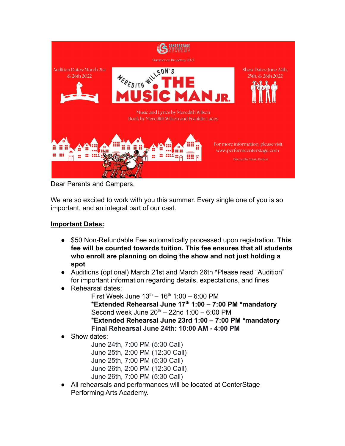

Dear Parents and Campers,

We are so excited to work with you this summer. Every single one of you is so important, and an integral part of our cast.

## **Important Dates:**

- \$50 Non-Refundable Fee automatically processed upon registration. **This fee will be counted towards tuition. This fee ensures that all students who enroll are planning on doing the show and not just holding a spot**
- Auditions (optional) March 21st and March 26th \*Please read "Audition" for important information regarding details, expectations, and fines
- Rehearsal dates:
	- First Week June  $13^{th} 16^{th} 1:00 6:00$  PM \***Extended Rehearsal June 17th 1:00 – 7:00 PM \*mandatory** Second week June  $20^{th}$  – 22nd 1:00 – 6:00 PM \***Extended Rehearsal June 23rd 1:00 – 7:00 PM \*mandatory Final Rehearsal June 24th: 10:00 AM - 4:00 PM**
- Show dates:

June 24th, 7:00 PM (5:30 Call) June 25th, 2:00 PM (12:30 Call) June 25th, 7:00 PM (5:30 Call) June 26th, 2:00 PM (12:30 Call) June 26th, 7:00 PM (5:30 Call)

● All rehearsals and performances will be located at CenterStage Performing Arts Academy.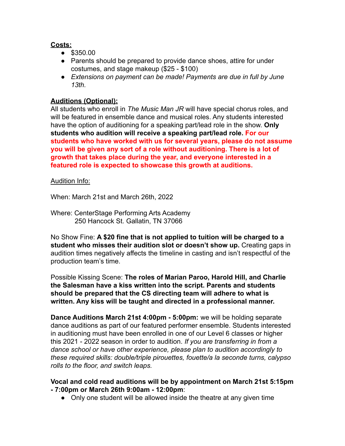## **Costs:**

- \$350.00
- Parents should be prepared to provide dance shoes, attire for under costumes, and stage makeup (\$25 - \$100)
- *● Extensions on payment can be made! Payments are due in full by June 13th.*

## **Auditions (Optional):**

All students who enroll in *The Music Man JR* will have special chorus roles, and will be featured in ensemble dance and musical roles. Any students interested have the option of auditioning for a speaking part/lead role in the show. **Only students who audition will receive a speaking part/lead role. For our students who have worked with us for several years, please do not assume you will be given any sort of a role without auditioning. There is a lot of growth that takes place during the year, and everyone interested in a featured role is expected to showcase this growth at auditions.**

### Audition Info:

When: March 21st and March 26th, 2022

Where: CenterStage Performing Arts Academy 250 Hancock St. Gallatin, TN 37066

No Show Fine: **A \$20 fine that is not applied to tuition will be charged to a student who misses their audition slot or doesn't show up.** Creating gaps in audition times negatively affects the timeline in casting and isn't respectful of the production team's time.

Possible Kissing Scene: **The roles of Marian Paroo, Harold Hill, and Charlie the Salesman have a kiss written into the script. Parents and students should be prepared that the CS directing team will adhere to what is written. Any kiss will be taught and directed in a professional manner.**

**Dance Auditions March 21st 4:00pm - 5:00pm:** we will be holding separate dance auditions as part of our featured performer ensemble. Students interested in auditioning must have been enrolled in one of our Level 6 classes or higher this 2021 - 2022 season in order to audition. *If you are transferring in from a dance school or have other experience, please plan to audition accordingly to these required skills: double/triple pirouettes, fouette/a la seconde turns, calypso rolls to the floor, and switch leaps.*

#### **Vocal and cold read auditions will be by appointment on March 21st 5:15pm - 7:00pm or March 26th 9:00am - 12:00pm**:

• Only one student will be allowed inside the theatre at any given time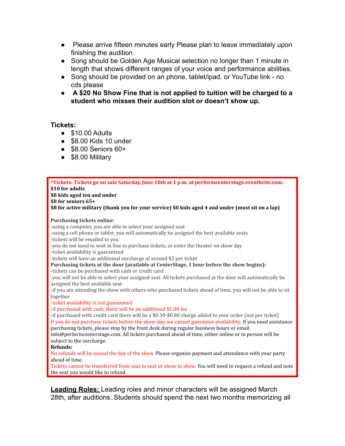- Please arrive fifteen minutes early Please plan to leave immediately upon finishing the audition
- Song should be Golden Age Musical selection no longer than 1 minute in length that shows different ranges of your voice and performance abilities.
- Song should be provided on an phone, tablet/ipad, or YouTube link no cds please
- **A \$20 No Show Fine that is not applied to tuition will be charged to a student who misses their audition slot or doesn't show up.**

#### **Tickets:**

- $\bullet$  \$10.00 Adults
- \$8.00 Kids 10 under
- \$8.00 Seniors 60+
- \$8.00 Military

| *Tickets: Tickets go on sale Saturday, June 18th at 1 p.m. at performcenterstage.eventbrite.com.<br>\$10 for adults<br>\$8 kids aged ten and under<br>\$8 for seniors 65+<br>\$8 for active military (thank you for your service) \$0 kids aged 4 and under (must sit on a lap)                                                                                                                                                                                                                                                                                                                                                                                                                                                                                                                                                                                                                                                                                                                                                                                                                                                                                                                                                                                                                                                                                                                                                                                                                                                                                                                                                                                                                            |
|------------------------------------------------------------------------------------------------------------------------------------------------------------------------------------------------------------------------------------------------------------------------------------------------------------------------------------------------------------------------------------------------------------------------------------------------------------------------------------------------------------------------------------------------------------------------------------------------------------------------------------------------------------------------------------------------------------------------------------------------------------------------------------------------------------------------------------------------------------------------------------------------------------------------------------------------------------------------------------------------------------------------------------------------------------------------------------------------------------------------------------------------------------------------------------------------------------------------------------------------------------------------------------------------------------------------------------------------------------------------------------------------------------------------------------------------------------------------------------------------------------------------------------------------------------------------------------------------------------------------------------------------------------------------------------------------------------|
| <b>Purchasing tickets online:</b><br>-using a computer, you are able to select your assigned seat<br>-using a cell phone or tablet, you will automatically be assigned the best available seats<br>-tickets will be emailed to you<br>-you do not need to wait in line to purchase tickets, or enter the theater on show day<br>-ticket availability is guaranteed<br>-tickets will have an additional surcharge of around \$2 per ticket<br>Purchasing tickets at the door (available at CenterStage, 1 hour before the show begins):<br>-tickets can be purchased with cash or credit card<br>-you will not be able to select your assigned seat. All tickets purchased at the door will automatically be<br>assigned the best available seat<br>-if you are attending the show with others who purchased tickets ahead of time, you will not be able to sit<br>together<br>-ticket availability is not guaranteed<br>-if purchased with cash, there will be an additional \$1.00 fee<br>-if purchased with credit card there will be a \$0.30-\$0.80 charge added to your order (not per ticket)<br>If you do not purchase tickets before the show day, we cannot guarantee availability. If you need assistance<br>purchasing tickets, please stop by the front desk during regular business hours or email<br>info@performcenterstage.com. All tickets purchased ahead of time, either online or in person will be<br>subject to the surcharge.<br>Refunds:<br>No refunds will be issued the day of the show. Please organize payment and attendance with your party<br>ahead of time.<br>Tickets cannot be transferred from seat to seat or show to show. You will need to request a refund and note |
| the seat you would like to refund.                                                                                                                                                                                                                                                                                                                                                                                                                                                                                                                                                                                                                                                                                                                                                                                                                                                                                                                                                                                                                                                                                                                                                                                                                                                                                                                                                                                                                                                                                                                                                                                                                                                                         |

**Leading Roles:** Leading roles and minor characters will be assigned March 28th, after auditions. Students should spend the next two months memorizing all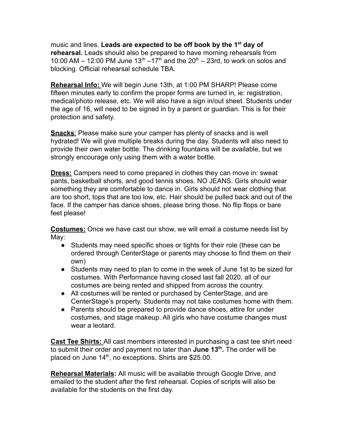music and lines. **Leads are expected to be off book by the 1st day of rehearsal.** Leads should also be prepared to have morning rehearsals from 10:00 AM – 12:00 PM June 13<sup>th</sup> –17<sup>th</sup> and the 20<sup>th</sup> – 23rd, to work on solos and blocking. Official rehearsal schedule TBA.

**Rehearsal Info:** We will begin June 13th, at 1:00 PM SHARP! Please come fifteen minutes early to confirm the proper forms are turned in, ie: registration, medical/photo release, etc. We will also have a sign in/out sheet. Students under the age of 16, will need to be signed in by a parent or guardian. This is for their protection and safety.

**Snacks**: Please make sure your camper has plenty of snacks and is well hydrated! We will give multiple breaks during the day. Students will also need to provide their own water bottle. The drinking fountains will be available, but we strongly encourage only using them with a water bottle.

**Dress:** Campers need to come prepared in clothes they can move in: sweat pants, basketball shorts, and good tennis shoes. NO JEANS. Girls should wear something they are comfortable to dance in. Girls should not wear clothing that are too short, tops that are too low, etc. Hair should be pulled back and out of the face. If the camper has dance shoes, please bring those. No flip flops or bare feet please!

**Costumes:** Once we have cast our show, we will email a costume needs list by May:

- Students may need specific shoes or tights for their role (these can be ordered through CenterStage or parents may choose to find them on their own)
- Students may need to plan to come in the week of June 1st to be sized for costumes. With Performance having closed last fall 2020, all of our costumes are being rented and shipped from across the country.
- All costumes will be rented or purchased by CenterStage, and are CenterStage's property. Students may not take costumes home with them.
- Parents should be prepared to provide dance shoes, attire for under costumes, and stage makeup. All girls who have costume changes must wear a leotard.

**Cast Tee Shirts:** All cast members interested in purchasing a cast tee shirt need to submit their order and payment no later than **June 13th .** The order will be placed on June 14<sup>th</sup>, no exceptions. Shirts are \$25.00.

**Rehearsal Materials:** All music will be available through Google Drive, and emailed to the student after the first rehearsal. Copies of scripts will also be available for the students on the first day.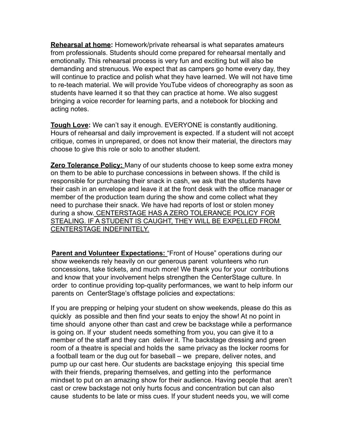**Rehearsal at home:** Homework/private rehearsal is what separates amateurs from professionals. Students should come prepared for rehearsal mentally and emotionally. This rehearsal process is very fun and exciting but will also be demanding and strenuous. We expect that as campers go home every day, they will continue to practice and polish what they have learned. We will not have time to re-teach material. We will provide YouTube videos of choreography as soon as students have learned it so that they can practice at home. We also suggest bringing a voice recorder for learning parts, and a notebook for blocking and acting notes.

**Tough Love:** We can't say it enough. EVERYONE is constantly auditioning. Hours of rehearsal and daily improvement is expected. If a student will not accept critique, comes in unprepared, or does not know their material, the directors may choose to give this role or solo to another student.

**Zero Tolerance Policy:** Many of our students choose to keep some extra money on them to be able to purchase concessions in between shows. If the child is responsible for purchasing their snack in cash, we ask that the students have their cash in an envelope and leave it at the front desk with the office manager or member of the production team during the show and come collect what they need to purchase their snack. We have had reports of lost or stolen money during a show. CENTERSTAGE HAS A ZERO TOLERANCE POLICY FOR STEALING. IF A STUDENT IS CAUGHT, THEY WILL BE EXPELLED FROM CENTERSTAGE INDEFINITELY.

**Parent and Volunteer Expectations:** "Front of House" operations during our show weekends rely heavily on our generous parent volunteers who run concessions, take tickets, and much more! We thank you for your contributions and know that your involvement helps strengthen the CenterStage culture. In order to continue providing top-quality performances, we want to help inform our parents on CenterStage's offstage policies and expectations:

If you are prepping or helping your student on show weekends, please do this as quickly as possible and then find your seats to enjoy the show! At no point in time should anyone other than cast and crew be backstage while a performance is going on. If your student needs something from you, you can give it to a member of the staff and they can deliver it. The backstage dressing and green room of a theatre is special and holds the same privacy as the locker rooms for a football team or the dug out for baseball – we prepare, deliver notes, and pump up our cast here. Our students are backstage enjoying this special time with their friends, preparing themselves, and getting into the performance mindset to put on an amazing show for their audience. Having people that aren't cast or crew backstage not only hurts focus and concentration but can also cause students to be late or miss cues. If your student needs you, we will come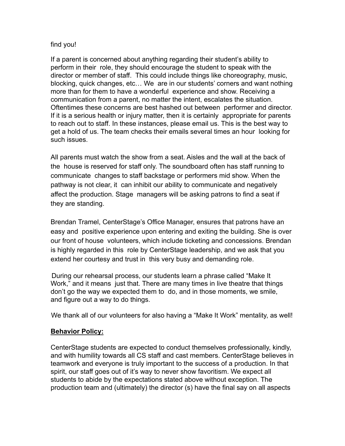#### find you!

If a parent is concerned about anything regarding their student's ability to perform in their role, they should encourage the student to speak with the director or member of staff. This could include things like choreography, music, blocking, quick changes, etc… We are in our students' corners and want nothing more than for them to have a wonderful experience and show. Receiving a communication from a parent, no matter the intent, escalates the situation. Oftentimes these concerns are best hashed out between performer and director. If it is a serious health or injury matter, then it is certainly appropriate for parents to reach out to staff. In these instances, please email us. This is the best way to get a hold of us. The team checks their emails several times an hour looking for such issues.

All parents must watch the show from a seat. Aisles and the wall at the back of the house is reserved for staff only. The soundboard often has staff running to communicate changes to staff backstage or performers mid show. When the pathway is not clear, it can inhibit our ability to communicate and negatively affect the production. Stage managers will be asking patrons to find a seat if they are standing.

Brendan Tramel, CenterStage's Office Manager, ensures that patrons have an easy and positive experience upon entering and exiting the building. She is over our front of house volunteers, which include ticketing and concessions. Brendan is highly regarded in this role by CenterStage leadership, and we ask that you extend her courtesy and trust in this very busy and demanding role.

During our rehearsal process, our students learn a phrase called "Make It Work," and it means just that. There are many times in live theatre that things don't go the way we expected them to do, and in those moments, we smile, and figure out a way to do things.

We thank all of our volunteers for also having a "Make It Work" mentality, as well!

# **Behavior Policy:**

CenterStage students are expected to conduct themselves professionally, kindly, and with humility towards all CS staff and cast members. CenterStage believes in teamwork and everyone is truly important to the success of a production. In that spirit, our staff goes out of it's way to never show favoritism. We expect all students to abide by the expectations stated above without exception. The production team and (ultimately) the director (s) have the final say on all aspects